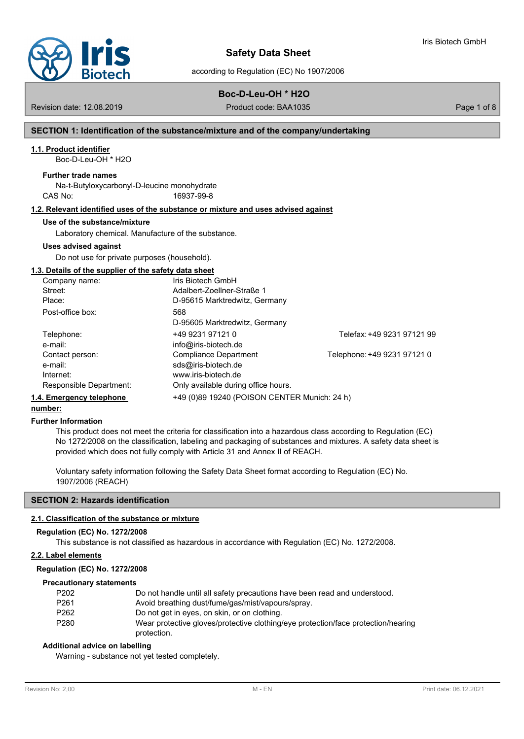

according to Regulation (EC) No 1907/2006

# **Boc-D-Leu-OH \* H2O**

Revision date: 12.08.2019 **Product code: BAA1035** Page 1 of 8

Iris Biotech GmbH

### **SECTION 1: Identification of the substance/mixture and of the company/undertaking**

### **1.1. Product identifier**

Boc-D-Leu-OH \* H2O

### **Further trade names**

Na-t-Butyloxycarbonyl-D-leucine monohydrate CAS No: 16937-99-8

### **1.2. Relevant identified uses of the substance or mixture and uses advised against**

### **Use of the substance/mixture**

Laboratory chemical. Manufacture of the substance.

### **Uses advised against**

Do not use for private purposes (household).

### **1.3. Details of the supplier of the safety data sheet**

| Company name:            | Iris Biotech GmbH                            |                             |
|--------------------------|----------------------------------------------|-----------------------------|
| Street:                  | Adalbert-ZoelIner-Straße 1                   |                             |
| Place:                   | D-95615 Marktredwitz, Germany                |                             |
| Post-office box:         | 568                                          |                             |
|                          | D-95605 Marktredwitz, Germany                |                             |
| Telephone:               | +49 9231 97121 0                             | Telefax: +49 9231 97121 99  |
| e-mail:                  | info@iris-biotech.de                         |                             |
| Contact person:          | Compliance Department                        | Telephone: +49 9231 97121 0 |
| e-mail:                  | sds@iris-biotech.de                          |                             |
| Internet:                | www.iris-biotech.de                          |                             |
| Responsible Department:  | Only available during office hours.          |                             |
| 1.4. Emergency telephone | +49 (0)89 19240 (POISON CENTER Munich: 24 h) |                             |

# **number:**

### **Further Information**

This product does not meet the criteria for classification into a hazardous class according to Regulation (EC) No 1272/2008 on the classification, labeling and packaging of substances and mixtures. A safety data sheet is provided which does not fully comply with Article 31 and Annex II of REACH.

Voluntary safety information following the Safety Data Sheet format according to Regulation (EC) No. 1907/2006 (REACH)

### **SECTION 2: Hazards identification**

### **2.1. Classification of the substance or mixture**

#### **Regulation (EC) No. 1272/2008**

This substance is not classified as hazardous in accordance with Regulation (EC) No. 1272/2008.

### **2.2. Label elements**

#### **Regulation (EC) No. 1272/2008**

#### **Precautionary statements**

| P <sub>202</sub> | Do not handle until all safety precautions have been read and understood.         |
|------------------|-----------------------------------------------------------------------------------|
| P <sub>261</sub> | Avoid breathing dust/fume/gas/mist/vapours/spray.                                 |
| P <sub>262</sub> | Do not get in eyes, on skin, or on clothing.                                      |
| P <sub>280</sub> | Wear protective gloves/protective clothing/eye protection/face protection/hearing |
|                  | protection.                                                                       |

### **Additional advice on labelling**

Warning - substance not yet tested completely.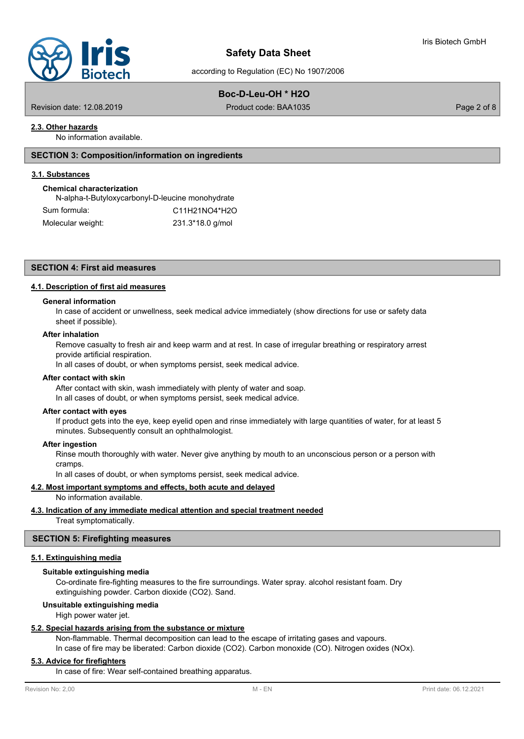

according to Regulation (EC) No 1907/2006

# **Boc-D-Leu-OH \* H2O**

Revision date: 12.08.2019 Product code: BAA1035 Page 2 of 8

# **2.3. Other hazards**

No information available.

### **SECTION 3: Composition/information on ingredients**

### **3.1. Substances**

# **Chemical characterization**

| N-alpha-t-Butyloxycarbonyl-D-leucine monohydrate |                  |
|--------------------------------------------------|------------------|
| Sum formula:                                     | C11H21NO4*H2O    |
| Molecular weight:                                | 231.3*18.0 g/mol |

# **SECTION 4: First aid measures**

# **4.1. Description of first aid measures**

### **General information**

In case of accident or unwellness, seek medical advice immediately (show directions for use or safety data sheet if possible).

### **After inhalation**

Remove casualty to fresh air and keep warm and at rest. In case of irregular breathing or respiratory arrest provide artificial respiration.

In all cases of doubt, or when symptoms persist, seek medical advice.

### **After contact with skin**

After contact with skin, wash immediately with plenty of water and soap. In all cases of doubt, or when symptoms persist, seek medical advice.

### **After contact with eyes**

If product gets into the eye, keep eyelid open and rinse immediately with large quantities of water, for at least 5 minutes. Subsequently consult an ophthalmologist.

### **After ingestion**

Rinse mouth thoroughly with water. Never give anything by mouth to an unconscious person or a person with cramps.

In all cases of doubt, or when symptoms persist, seek medical advice.

### **4.2. Most important symptoms and effects, both acute and delayed**

No information available.

# **4.3. Indication of any immediate medical attention and special treatment needed**

Treat symptomatically.

### **SECTION 5: Firefighting measures**

### **5.1. Extinguishing media**

### **Suitable extinguishing media**

Co-ordinate fire-fighting measures to the fire surroundings. Water spray. alcohol resistant foam. Dry extinguishing powder. Carbon dioxide (CO2). Sand.

### **Unsuitable extinguishing media**

High power water jet.

### **5.2. Special hazards arising from the substance or mixture**

Non-flammable. Thermal decomposition can lead to the escape of irritating gases and vapours.

In case of fire may be liberated: Carbon dioxide (CO2). Carbon monoxide (CO). Nitrogen oxides (NOx).

# **5.3. Advice for firefighters**

In case of fire: Wear self-contained breathing apparatus.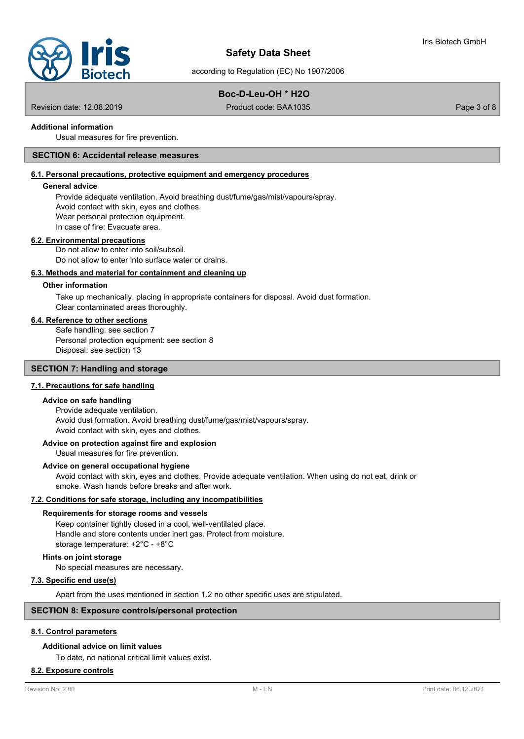

according to Regulation (EC) No 1907/2006

# **Boc-D-Leu-OH \* H2O**

Revision date: 12.08.2019 Product code: BAA1035 Page 3 of 8

### **Additional information**

Usual measures for fire prevention.

### **SECTION 6: Accidental release measures**

### **6.1. Personal precautions, protective equipment and emergency procedures**

### **General advice**

Provide adequate ventilation. Avoid breathing dust/fume/gas/mist/vapours/spray. Avoid contact with skin, eyes and clothes. Wear personal protection equipment. In case of fire: Evacuate area.

#### **6.2. Environmental precautions**

Do not allow to enter into soil/subsoil. Do not allow to enter into surface water or drains.

### **6.3. Methods and material for containment and cleaning up**

### **Other information**

Take up mechanically, placing in appropriate containers for disposal. Avoid dust formation. Clear contaminated areas thoroughly.

### **6.4. Reference to other sections**

Safe handling: see section 7 Personal protection equipment: see section 8 Disposal: see section 13

### **SECTION 7: Handling and storage**

### **7.1. Precautions for safe handling**

### **Advice on safe handling**

Provide adequate ventilation. Avoid dust formation. Avoid breathing dust/fume/gas/mist/vapours/spray. Avoid contact with skin, eyes and clothes.

### **Advice on protection against fire and explosion**

Usual measures for fire prevention.

### **Advice on general occupational hygiene**

Avoid contact with skin, eyes and clothes. Provide adequate ventilation. When using do not eat, drink or smoke. Wash hands before breaks and after work.

### **7.2. Conditions for safe storage, including any incompatibilities**

### **Requirements for storage rooms and vessels**

Keep container tightly closed in a cool, well-ventilated place. Handle and store contents under inert gas. Protect from moisture. storage temperature: +2°C - +8°C

### **Hints on joint storage**

No special measures are necessary.

### **7.3. Specific end use(s)**

Apart from the uses mentioned in section 1.2 no other specific uses are stipulated.

# **SECTION 8: Exposure controls/personal protection**

### **8.1. Control parameters**

### **Additional advice on limit values**

To date, no national critical limit values exist.

### **8.2. Exposure controls**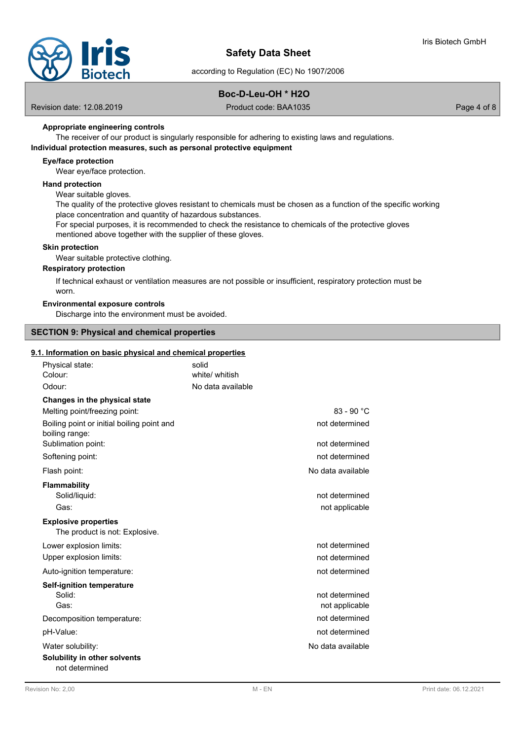according to Regulation (EC) No 1907/2006

# **Boc-D-Leu-OH \* H2O**

Revision date: 12.08.2019 Product code: BAA1035 Page 4 of 8

### **Appropriate engineering controls**

The receiver of our product is singularly responsible for adhering to existing laws and regulations.

# **Individual protection measures, such as personal protective equipment**

# **Eye/face protection**

Wear eye/face protection.

### **Hand protection**

Wear suitable gloves.

The quality of the protective gloves resistant to chemicals must be chosen as a function of the specific working place concentration and quantity of hazardous substances.

For special purposes, it is recommended to check the resistance to chemicals of the protective gloves mentioned above together with the supplier of these gloves.

### **Skin protection**

Wear suitable protective clothing.

### **Respiratory protection**

If technical exhaust or ventilation measures are not possible or insufficient, respiratory protection must be worn.

# **Environmental exposure controls**

Discharge into the environment must be avoided.

### **SECTION 9: Physical and chemical properties**

### **9.1. Information on basic physical and chemical properties**

| Physical state:                                               | solid             |                   |
|---------------------------------------------------------------|-------------------|-------------------|
| Colour:                                                       | white/ whitish    |                   |
| Odour:                                                        | No data available |                   |
| Changes in the physical state                                 |                   |                   |
| Melting point/freezing point:                                 |                   | $83 - 90 °C$      |
| Boiling point or initial boiling point and<br>boiling range:  |                   | not determined    |
| Sublimation point:                                            |                   | not determined    |
| Softening point:                                              |                   | not determined    |
| Flash point:                                                  |                   | No data available |
| Flammability                                                  |                   |                   |
| Solid/liquid:                                                 |                   | not determined    |
| Gas:                                                          |                   | not applicable    |
| <b>Explosive properties</b><br>The product is not: Explosive. |                   |                   |
| Lower explosion limits:                                       |                   | not determined    |
| Upper explosion limits:                                       |                   | not determined    |
| Auto-ignition temperature:                                    |                   | not determined    |
| <b>Self-ignition temperature</b>                              |                   |                   |
| Solid:                                                        |                   | not determined    |
| Gas:                                                          |                   | not applicable    |
| Decomposition temperature:                                    |                   | not determined    |
| pH-Value:                                                     |                   | not determined    |
| Water solubility:                                             |                   | No data available |
| Solubility in other solvents<br>not determined                |                   |                   |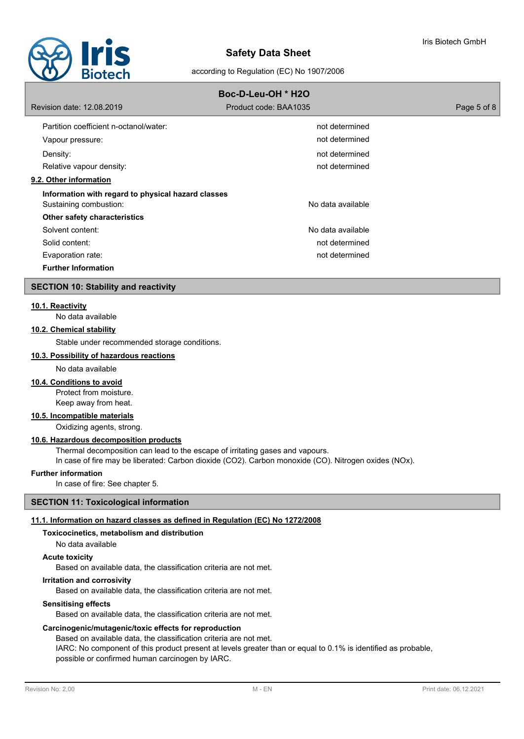

### according to Regulation (EC) No 1907/2006

# **Boc-D-Leu-OH \* H2O** Revision date: 12.08.2019 Product code: BAA1035 Page 5 of 8 Partition coefficient n-octanol/water: not determined in the not determined Vapour pressure: not determined Density: not determined Relative vapour density: not determined **9.2. Other information Information with regard to physical hazard classes** Sustaining combustion: No data available subsets are not all the set of the set of the set of the set of the set of the set of the set of the set of the set of the set of the set of the set of the set of the set of the set **Other safety characteristics** Solvent content: No data available content: No data available Solid content: not determined Evaporation rate: not determined **Further Information**

### **SECTION 10: Stability and reactivity**

### **10.1. Reactivity**

No data available

# **10.2. Chemical stability**

Stable under recommended storage conditions.

### **10.3. Possibility of hazardous reactions**

No data available

### **10.4. Conditions to avoid**

Protect from moisture. Keep away from heat.

### **10.5. Incompatible materials**

Oxidizing agents, strong.

# **10.6. Hazardous decomposition products**

Thermal decomposition can lead to the escape of irritating gases and vapours.

In case of fire may be liberated: Carbon dioxide (CO2). Carbon monoxide (CO). Nitrogen oxides (NOx).

### **Further information**

In case of fire: See chapter 5.

### **SECTION 11: Toxicological information**

# **11.1. Information on hazard classes as defined in Regulation (EC) No 1272/2008**

# **Toxicocinetics, metabolism and distribution**

No data available

# **Acute toxicity**

Based on available data, the classification criteria are not met.

# **Irritation and corrosivity**

Based on available data, the classification criteria are not met.

# **Sensitising effects**

Based on available data, the classification criteria are not met.

# **Carcinogenic/mutagenic/toxic effects for reproduction**

Based on available data, the classification criteria are not met.

IARC: No component of this product present at levels greater than or equal to 0.1% is identified as probable, possible or confirmed human carcinogen by IARC.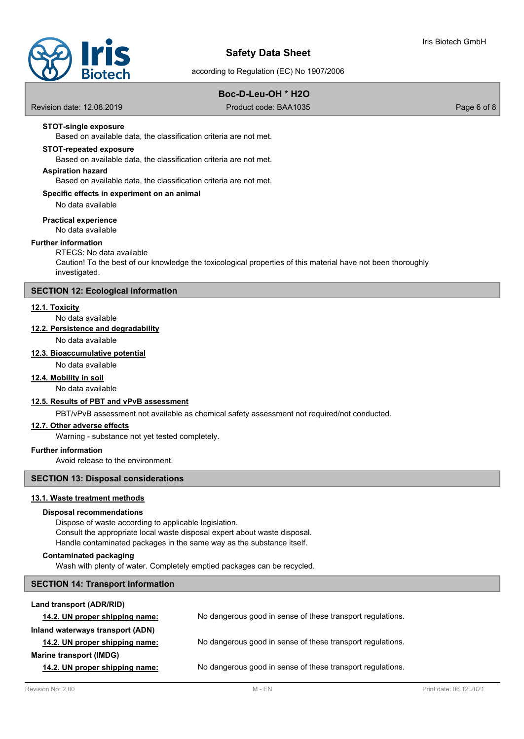

according to Regulation (EC) No 1907/2006

# **Boc-D-Leu-OH \* H2O**

Revision date: 12.08.2019 Product code: BAA1035 Page 6 of 8

### **STOT-single exposure**

Based on available data, the classification criteria are not met.

#### **STOT-repeated exposure**

Based on available data, the classification criteria are not met.

### **Aspiration hazard**

Based on available data, the classification criteria are not met.

### **Specific effects in experiment on an animal**

No data available

### **Practical experience**

No data available

### **Further information**

# RTECS: No data available

Caution! To the best of our knowledge the toxicological properties of this material have not been thoroughly investigated.

### **SECTION 12: Ecological information**

### **12.1. Toxicity**

No data available

# **12.2. Persistence and degradability**

No data available

### **12.3. Bioaccumulative potential**

No data available

# **12.4. Mobility in soil**

No data available

### **12.5. Results of PBT and vPvB assessment**

PBT/vPvB assessment not available as chemical safety assessment not required/not conducted.

### **12.7. Other adverse effects**

Warning - substance not yet tested completely.

### **Further information**

Avoid release to the environment.

# **SECTION 13: Disposal considerations**

### **13.1. Waste treatment methods**

### **Disposal recommendations**

Dispose of waste according to applicable legislation. Consult the appropriate local waste disposal expert about waste disposal. Handle contaminated packages in the same way as the substance itself.

### **Contaminated packaging**

Wash with plenty of water. Completely emptied packages can be recycled.

### **SECTION 14: Transport information**

| Land transport (ADR/RID)         |                                                            |
|----------------------------------|------------------------------------------------------------|
| 14.2. UN proper shipping name:   | No dangerous good in sense of these transport regulations. |
| Inland waterways transport (ADN) |                                                            |
| 14.2. UN proper shipping name:   | No dangerous good in sense of these transport regulations. |
| Marine transport (IMDG)          |                                                            |
| 14.2. UN proper shipping name:   | No dangerous good in sense of these transport regulations. |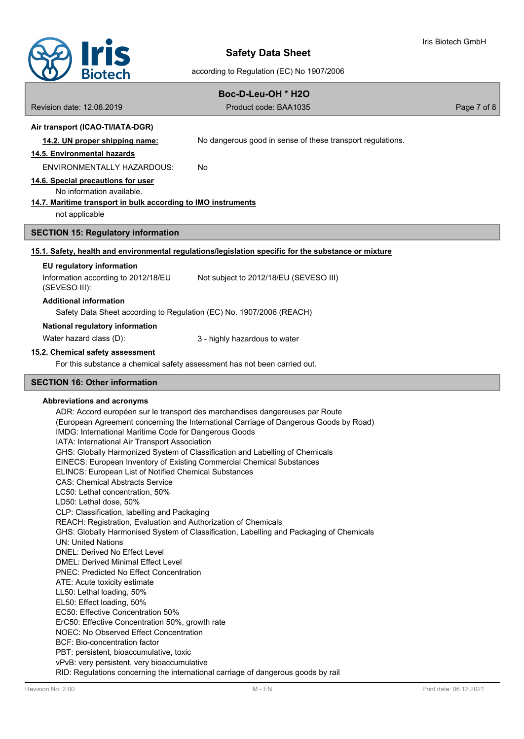

according to Regulation (EC) No 1907/2006

| Boc-D-Leu-OH * H2O                                                                                   |                                                                             |             |  |
|------------------------------------------------------------------------------------------------------|-----------------------------------------------------------------------------|-------------|--|
| Revision date: 12.08.2019                                                                            | Product code: BAA1035                                                       | Page 7 of 8 |  |
| Air transport (ICAO-TI/IATA-DGR)                                                                     |                                                                             |             |  |
| 14.2. UN proper shipping name:                                                                       | No dangerous good in sense of these transport regulations.                  |             |  |
| 14.5. Environmental hazards                                                                          |                                                                             |             |  |
| ENVIRONMENTALLY HAZARDOUS:                                                                           | No                                                                          |             |  |
| 14.6. Special precautions for user<br>No information available.                                      |                                                                             |             |  |
| 14.7. Maritime transport in bulk according to IMO instruments<br>not applicable                      |                                                                             |             |  |
| <b>SECTION 15: Regulatory information</b>                                                            |                                                                             |             |  |
| 15.1. Safety, health and environmental regulations/legislation specific for the substance or mixture |                                                                             |             |  |
| EU regulatory information                                                                            |                                                                             |             |  |
| Information according to 2012/18/EU<br>(SEVESO III):                                                 | Not subject to 2012/18/EU (SEVESO III)                                      |             |  |
| <b>Additional information</b>                                                                        |                                                                             |             |  |
| Safety Data Sheet according to Regulation (EC) No. 1907/2006 (REACH)                                 |                                                                             |             |  |
| National regulatory information                                                                      |                                                                             |             |  |
| Water hazard class (D):                                                                              | 3 - highly hazardous to water                                               |             |  |
| 15.2. Chemical safety assessment                                                                     |                                                                             |             |  |
| For this substance a chemical safety assessment has not been carried out.                            |                                                                             |             |  |
| <b>SECTION 16: Other information</b>                                                                 |                                                                             |             |  |
| Abbreviations and acronyms                                                                           | ADD, Assert suranéen aux le troppert des merchandises dengereuses per Deute |             |  |

ADR: Accord européen sur le transport des marchandises dangereuses par Route (European Agreement concerning the International Carriage of Dangerous Goods by Road) IMDG: International Maritime Code for Dangerous Goods IATA: International Air Transport Association GHS: Globally Harmonized System of Classification and Labelling of Chemicals EINECS: European Inventory of Existing Commercial Chemical Substances ELINCS: European List of Notified Chemical Substances CAS: Chemical Abstracts Service LC50: Lethal concentration, 50% LD50: Lethal dose, 50% CLP: Classification, labelling and Packaging REACH: Registration, Evaluation and Authorization of Chemicals GHS: Globally Harmonised System of Classification, Labelling and Packaging of Chemicals UN: United Nations DNEL: Derived No Effect Level DMEL: Derived Minimal Effect Level PNEC: Predicted No Effect Concentration ATE: Acute toxicity estimate LL50: Lethal loading, 50% EL50: Effect loading, 50% EC50: Effective Concentration 50% ErC50: Effective Concentration 50%, growth rate NOEC: No Observed Effect Concentration BCF: Bio-concentration factor PBT: persistent, bioaccumulative, toxic vPvB: very persistent, very bioaccumulative RID: Regulations concerning the international carriage of dangerous goods by rail